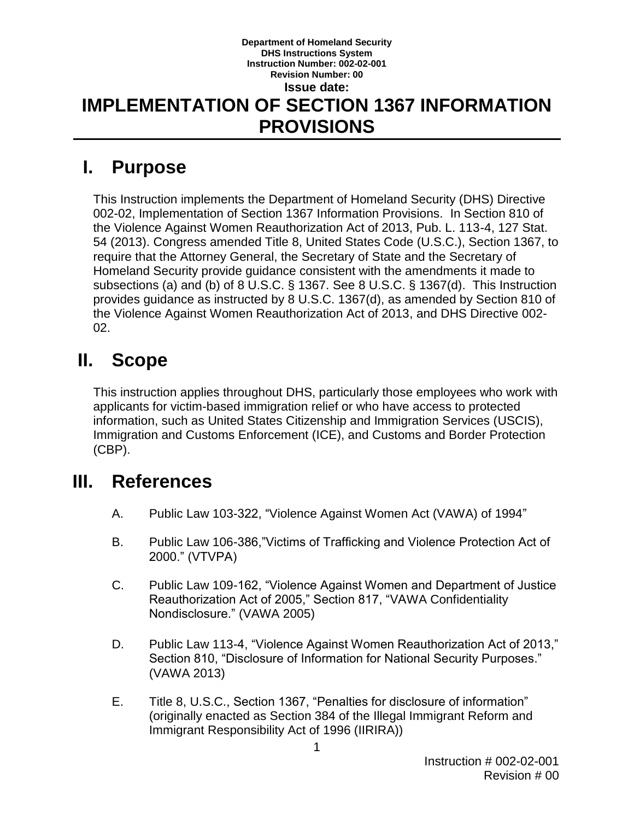#### **Department of Homeland Security DHS Instructions System Instruction Number: 002-02-001 Revision Number: 00 Issue date: IMPLEMENTATION OF SECTION 1367 INFORMATION PROVISIONS**

# **I. Purpose**

This Instruction implements the Department of Homeland Security (DHS) Directive 002-02, Implementation of Section 1367 Information Provisions. In Section 810 of the Violence Against Women Reauthorization Act of 2013, Pub. L. 113-4, 127 Stat. 54 (2013). Congress amended Title 8, United States Code (U.S.C.), Section 1367, to require that the Attorney General, the Secretary of State and the Secretary of Homeland Security provide guidance consistent with the amendments it made to subsections (a) and (b) of 8 U.S.C. § 1367. See 8 U.S.C. § 1367(d). This Instruction provides guidance as instructed by 8 U.S.C. 1367(d), as amended by Section 810 of the Violence Against Women Reauthorization Act of 2013, and DHS Directive 002- 02.

## **II. Scope**

This instruction applies throughout DHS, particularly those employees who work with applicants for victim-based immigration relief or who have access to protected information, such as United States Citizenship and Immigration Services (USCIS), Immigration and Customs Enforcement (ICE), and Customs and Border Protection (CBP).

### **III. References**

- A. Public Law 103-322, "Violence Against Women Act (VAWA) of 1994"
- B. Public Law 106-386,"Victims of Trafficking and Violence Protection Act of 2000." (VTVPA)
- C. Public Law 109-162, "Violence Against Women and Department of Justice Reauthorization Act of 2005," Section 817, "VAWA Confidentiality Nondisclosure." (VAWA 2005)
- D. Public Law 113-4, "Violence Against Women Reauthorization Act of 2013," Section 810, "Disclosure of Information for National Security Purposes." (VAWA 2013)
- E. Title 8, U.S.C., Section 1367, "Penalties for disclosure of information" (originally enacted as Section 384 of the Illegal Immigrant Reform and Immigrant Responsibility Act of 1996 (IIRIRA))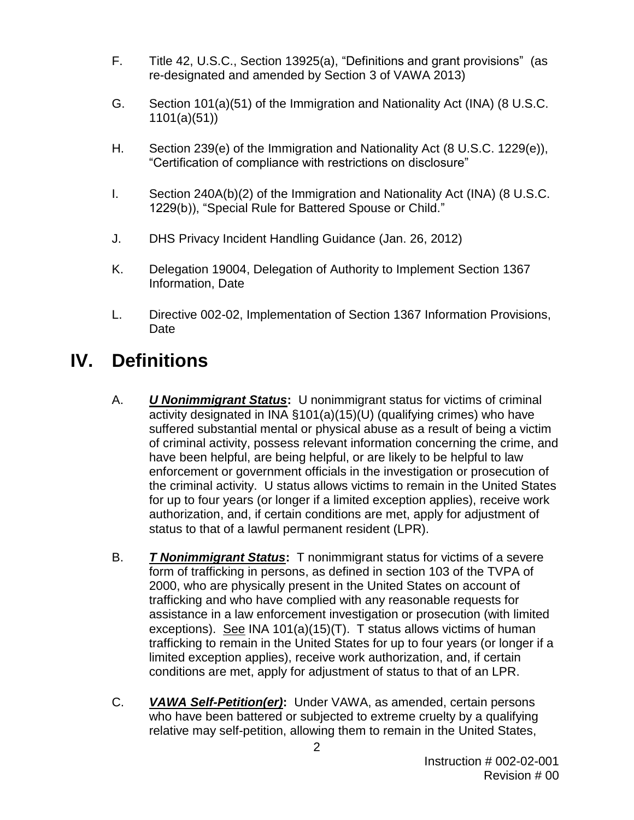- F. Title 42, U.S.C., Section 13925(a), "Definitions and grant provisions" (as re-designated and amended by Section 3 of VAWA 2013)
- G. Section 101(a)(51) of the Immigration and Nationality Act (INA) (8 U.S.C. 1101(a)(51))
- H. Section 239(e) of the Immigration and Nationality Act (8 U.S.C. 1229(e)), "Certification of compliance with restrictions on disclosure"
- I. Section 240A(b)(2) of the Immigration and Nationality Act (INA) (8 U.S.C. 1229(b)), "Special Rule for Battered Spouse or Child."
- J. DHS Privacy Incident Handling Guidance (Jan. 26, 2012)
- K. Delegation 19004, Delegation of Authority to Implement Section 1367 Information, Date
- L. Directive 002-02, Implementation of Section 1367 Information Provisions, Date

# **IV. Definitions**

- A. *U Nonimmigrant Status***:** U nonimmigrant status for victims of criminal activity designated in INA §101(a)(15)(U) (qualifying crimes) who have suffered substantial mental or physical abuse as a result of being a victim of criminal activity, possess relevant information concerning the crime, and have been helpful, are being helpful, or are likely to be helpful to law enforcement or government officials in the investigation or prosecution of the criminal activity. U status allows victims to remain in the United States for up to four years (or longer if a limited exception applies), receive work authorization, and, if certain conditions are met, apply for adjustment of status to that of a lawful permanent resident (LPR).
- B. *T Nonimmigrant Status***:** T nonimmigrant status for victims of a severe form of trafficking in persons, as defined in section 103 of the TVPA of 2000, who are physically present in the United States on account of trafficking and who have complied with any reasonable requests for assistance in a law enforcement investigation or prosecution (with limited exceptions). See INA 101(a)(15)(T). T status allows victims of human trafficking to remain in the United States for up to four years (or longer if a limited exception applies), receive work authorization, and, if certain conditions are met, apply for adjustment of status to that of an LPR.
- C. *VAWA Self-Petition(er)***:** Under VAWA, as amended, certain persons who have been battered or subjected to extreme cruelty by a qualifying relative may self-petition, allowing them to remain in the United States,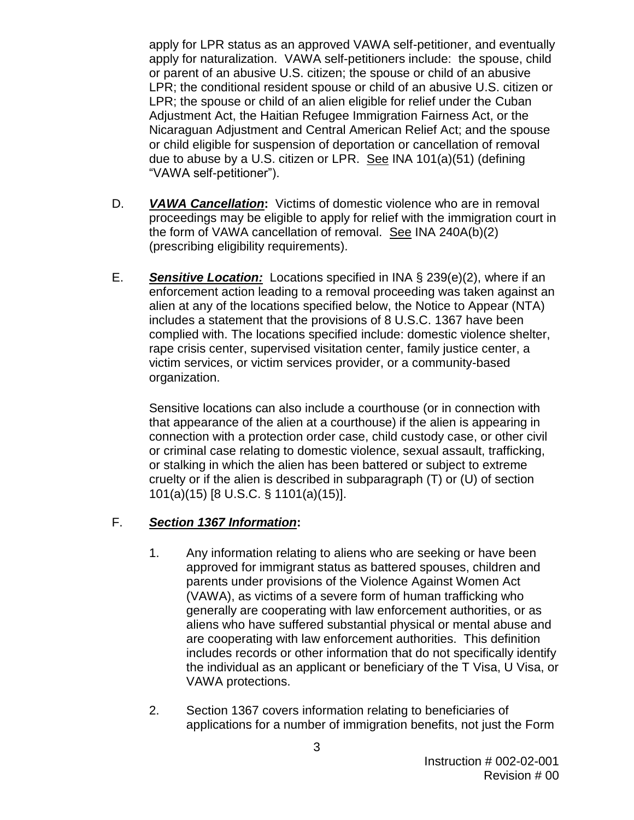apply for LPR status as an approved VAWA self-petitioner, and eventually apply for naturalization. VAWA self-petitioners include: the spouse, child or parent of an abusive U.S. citizen; the spouse or child of an abusive LPR; the conditional resident spouse or child of an abusive U.S. citizen or LPR; the spouse or child of an alien eligible for relief under the Cuban Adjustment Act, the Haitian Refugee Immigration Fairness Act, or the Nicaraguan Adjustment and Central American Relief Act; and the spouse or child eligible for suspension of deportation or cancellation of removal due to abuse by a U.S. citizen or LPR. See INA 101(a)(51) (defining "VAWA self-petitioner").

- D. *VAWA Cancellation***:** Victims of domestic violence who are in removal proceedings may be eligible to apply for relief with the immigration court in the form of VAWA cancellation of removal. See INA 240A(b)(2) (prescribing eligibility requirements).
- E. *Sensitive Location:* Locations specified in INA § 239(e)(2), where if an enforcement action leading to a removal proceeding was taken against an alien at any of the locations specified below, the Notice to Appear (NTA) includes a statement that the provisions of 8 U.S.C. 1367 have been complied with. The locations specified include: domestic violence shelter, rape crisis center, supervised visitation center, family justice center, a victim services, or victim services provider, or a community-based organization.

Sensitive locations can also include a courthouse (or in connection with that appearance of the alien at a courthouse) if the alien is appearing in connection with a protection order case, child custody case, or other civil or criminal case relating to domestic violence, sexual assault, trafficking, or stalking in which the alien has been battered or subject to extreme cruelty or if the alien is described in subparagraph (T) or (U) of section 101(a)(15) [8 U.S.C. § 1101(a)(15)].

#### F. *Section 1367 Information***:**

- 1. Any information relating to aliens who are seeking or have been approved for immigrant status as battered spouses, children and parents under provisions of the Violence Against Women Act (VAWA), as victims of a severe form of human trafficking who generally are cooperating with law enforcement authorities, or as aliens who have suffered substantial physical or mental abuse and are cooperating with law enforcement authorities. This definition includes records or other information that do not specifically identify the individual as an applicant or beneficiary of the T Visa, U Visa, or VAWA protections.
- 2. Section 1367 covers information relating to beneficiaries of applications for a number of immigration benefits, not just the Form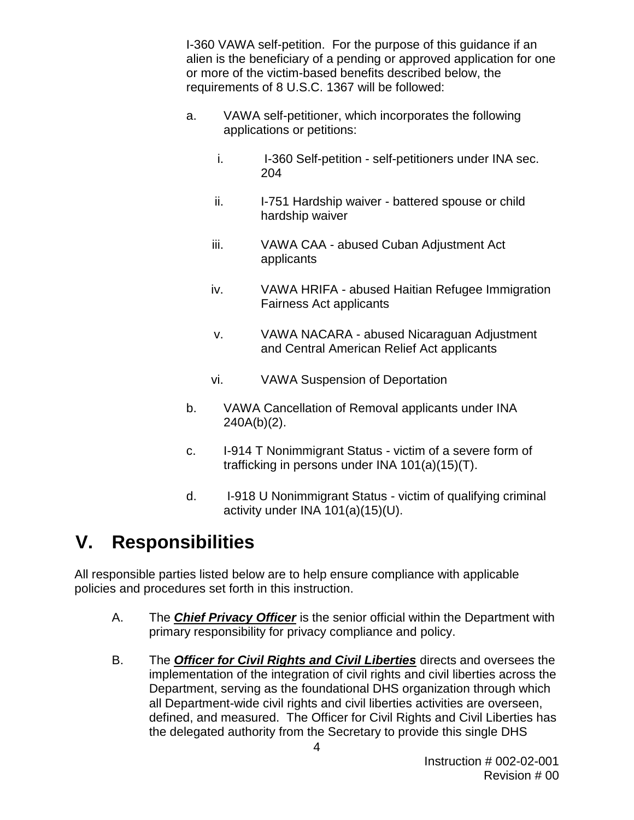I-360 VAWA self-petition. For the purpose of this guidance if an alien is the beneficiary of a pending or approved application for one or more of the victim-based benefits described below, the requirements of 8 U.S.C. 1367 will be followed:

- a. VAWA self-petitioner, which incorporates the following applications or petitions:
	- i. I-360 Self-petition self-petitioners under INA sec. 204
	- ii. I-751 Hardship waiver battered spouse or child hardship waiver
	- iii. VAWA CAA abused Cuban Adjustment Act applicants
	- iv. VAWA HRIFA abused Haitian Refugee Immigration Fairness Act applicants
	- v. VAWA NACARA abused Nicaraguan Adjustment and Central American Relief Act applicants
	- vi. VAWA Suspension of Deportation
- b. VAWA Cancellation of Removal applicants under INA 240A(b)(2).
- c. I-914 T Nonimmigrant Status victim of a severe form of trafficking in persons under INA 101(a)(15)(T).
- d. I-918 U Nonimmigrant Status victim of qualifying criminal activity under INA 101(a)(15)(U).

# **V. Responsibilities**

All responsible parties listed below are to help ensure compliance with applicable policies and procedures set forth in this instruction.

- A. The *Chief Privacy Officer* is the senior official within the Department with primary responsibility for privacy compliance and policy.
- B. The *Officer for Civil Rights and Civil Liberties* directs and oversees the implementation of the integration of civil rights and civil liberties across the Department, serving as the foundational DHS organization through which all Department-wide civil rights and civil liberties activities are overseen, defined, and measured. The Officer for Civil Rights and Civil Liberties has the delegated authority from the Secretary to provide this single DHS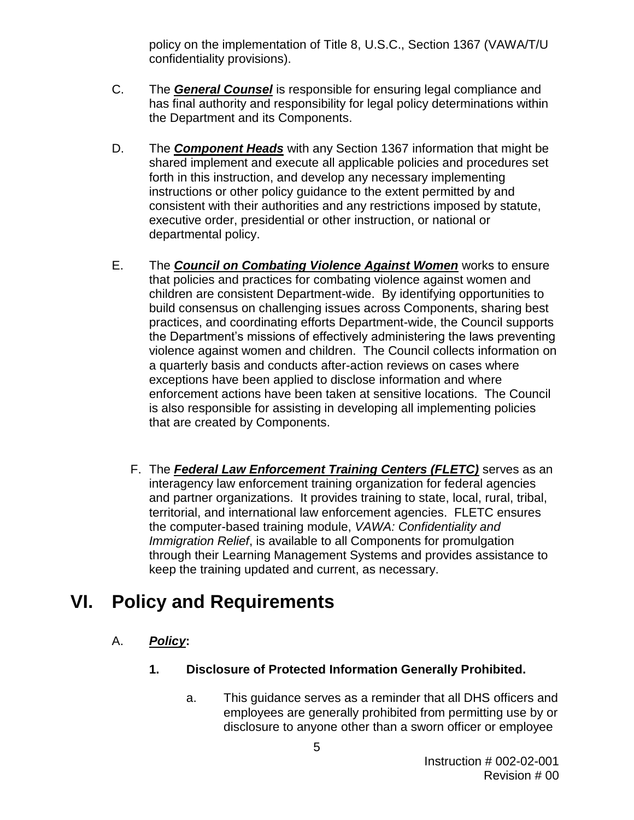policy on the implementation of Title 8, U.S.C., Section 1367 (VAWA/T/U confidentiality provisions).

- C. The *General Counsel* is responsible for ensuring legal compliance and has final authority and responsibility for legal policy determinations within the Department and its Components.
- D. The *Component Heads* with any Section 1367 information that might be shared implement and execute all applicable policies and procedures set forth in this instruction, and develop any necessary implementing instructions or other policy guidance to the extent permitted by and consistent with their authorities and any restrictions imposed by statute, executive order, presidential or other instruction, or national or departmental policy.
- E. The *Council on Combating Violence Against Women* works to ensure that policies and practices for combating violence against women and children are consistent Department-wide. By identifying opportunities to build consensus on challenging issues across Components, sharing best practices, and coordinating efforts Department-wide, the Council supports the Department's missions of effectively administering the laws preventing violence against women and children. The Council collects information on a quarterly basis and conducts after-action reviews on cases where exceptions have been applied to disclose information and where enforcement actions have been taken at sensitive locations. The Council is also responsible for assisting in developing all implementing policies that are created by Components.
	- F. The *Federal Law Enforcement Training Centers (FLETC)* serves as an interagency law enforcement training organization for federal agencies and partner organizations. It provides training to state, local, rural, tribal, territorial, and international law enforcement agencies. FLETC ensures the computer-based training module, *VAWA: Confidentiality and Immigration Relief*, is available to all Components for promulgation through their Learning Management Systems and provides assistance to keep the training updated and current, as necessary.

# **VI. Policy and Requirements**

- A. *Policy***:**
	- **1. Disclosure of Protected Information Generally Prohibited.**
		- a. This guidance serves as a reminder that all DHS officers and employees are generally prohibited from permitting use by or disclosure to anyone other than a sworn officer or employee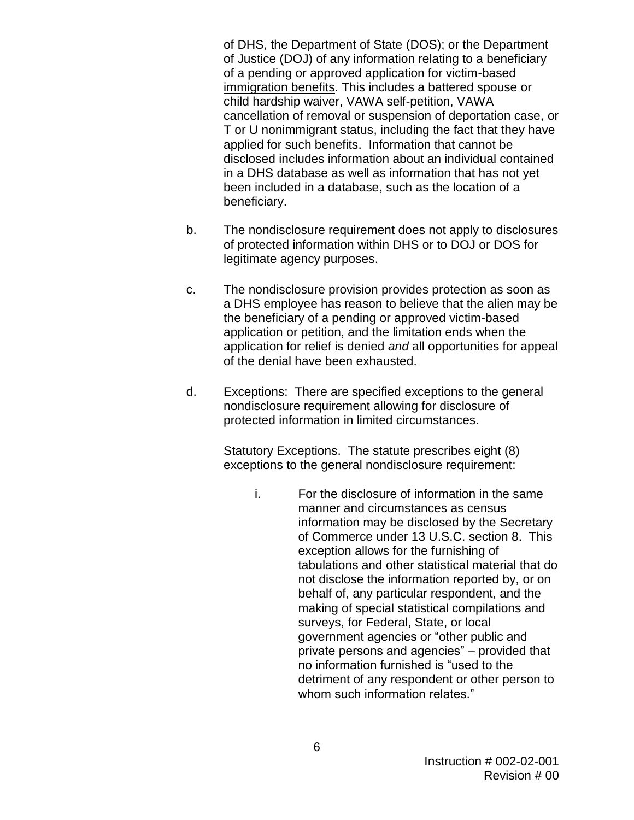of DHS, the Department of State (DOS); or the Department of Justice (DOJ) of any information relating to a beneficiary of a pending or approved application for victim-based immigration benefits. This includes a battered spouse or child hardship waiver, VAWA self-petition, VAWA cancellation of removal or suspension of deportation case, or T or U nonimmigrant status, including the fact that they have applied for such benefits. Information that cannot be disclosed includes information about an individual contained in a DHS database as well as information that has not yet been included in a database, such as the location of a beneficiary.

- b. The nondisclosure requirement does not apply to disclosures of protected information within DHS or to DOJ or DOS for legitimate agency purposes.
- c. The nondisclosure provision provides protection as soon as a DHS employee has reason to believe that the alien may be the beneficiary of a pending or approved victim-based application or petition, and the limitation ends when the application for relief is denied *and* all opportunities for appeal of the denial have been exhausted.
- d. Exceptions: There are specified exceptions to the general nondisclosure requirement allowing for disclosure of protected information in limited circumstances.

Statutory Exceptions. The statute prescribes eight (8) exceptions to the general nondisclosure requirement:

i. For the disclosure of information in the same manner and circumstances as census information may be disclosed by the Secretary of Commerce under 13 U.S.C. section [8.](http://www4.law.cornell.edu/uscode/uscode13/usc_sec_13_00000008----000-.html) This exception allows for the furnishing of tabulations and other statistical material that do not disclose the information reported by, or on behalf of, any particular respondent, and the making of special statistical compilations and surveys, for Federal, State, or local government agencies or "other public and private persons and agencies" – provided that no information furnished is "used to the detriment of any respondent or other person to whom such information relates."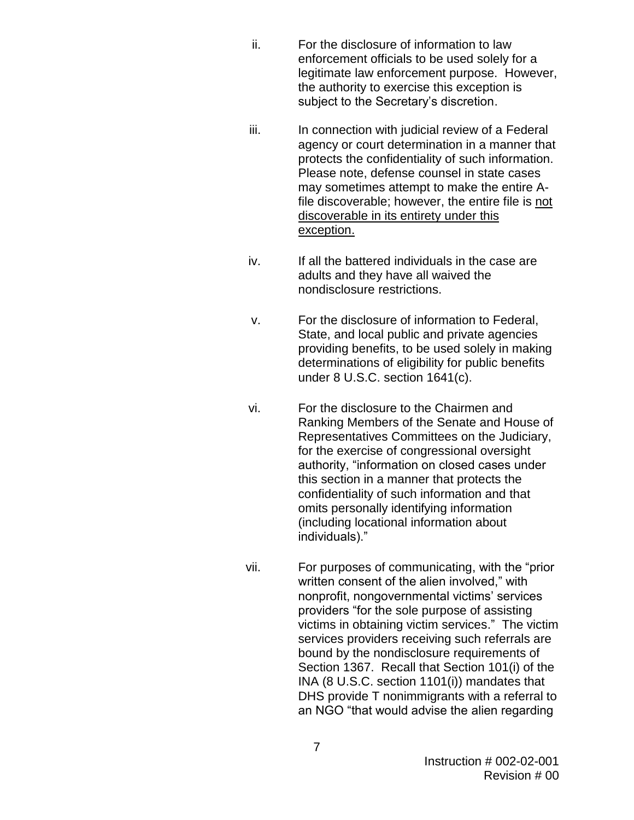- ii. For the disclosure of information to law enforcement officials to be used solely for a legitimate law enforcement purpose. However, the authority to exercise this exception is subject to the Secretary's discretion.
- iii. In connection with judicial review of a Federal agency or court determination in a manner that protects the confidentiality of such information. Please note, defense counsel in state cases may sometimes attempt to make the entire Afile discoverable; however, the entire file is not discoverable in its entirety under this exception.
- iv. If all the battered individuals in the case are adults and they have all waived the nondisclosure restrictions.
- v. For the disclosure of information to Federal, State, and local public and private agencies providing benefits, to be used solely in making determinations of eligibility for public benefits under 8 U.S.C. section 1641(c).
- vi. For the disclosure to the Chairmen and Ranking Members of the Senate and House of Representatives Committees on the Judiciary, for the exercise of congressional oversight authority, "information on closed cases under this section in a manner that protects the confidentiality of such information and that omits personally identifying information (including locational information about individuals)."
- vii. For purposes of communicating, with the "prior written consent of the alien involved," with nonprofit, nongovernmental victims' services providers "for the sole purpose of assisting victims in obtaining victim services." The victim services providers receiving such referrals are bound by the nondisclosure requirements of Section 1367. Recall that Section 101(i) of the INA (8 U.S.C. section 1101(i)) mandates that DHS provide T nonimmigrants with a referral to an NGO "that would advise the alien regarding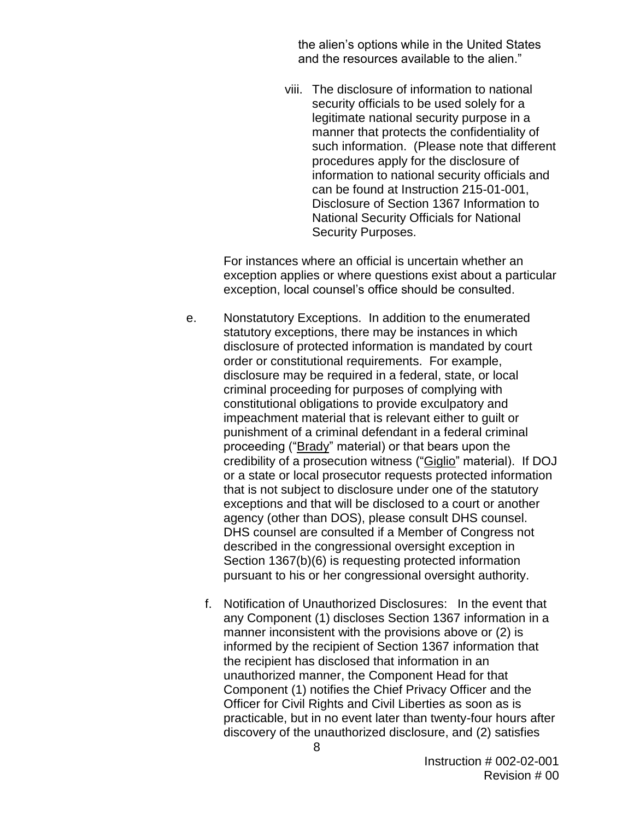the alien's options while in the United States and the resources available to the alien."

viii. The disclosure of information to national security officials to be used solely for a legitimate national security purpose in a manner that protects the confidentiality of such information. (Please note that different procedures apply for the disclosure of information to national security officials and can be found at Instruction 215-01-001, Disclosure of Section 1367 Information to National Security Officials for National Security Purposes.

For instances where an official is uncertain whether an exception applies or where questions exist about a particular exception, local counsel's office should be consulted.

- e. Nonstatutory Exceptions. In addition to the enumerated statutory exceptions, there may be instances in which disclosure of protected information is mandated by court order or constitutional requirements. For example, disclosure may be required in a federal, state, or local criminal proceeding for purposes of complying with constitutional obligations to provide exculpatory and impeachment material that is relevant either to guilt or punishment of a criminal defendant in a federal criminal proceeding ("Brady" material) or that bears upon the credibility of a prosecution witness ("Giglio" material). If DOJ or a state or local prosecutor requests protected information that is not subject to disclosure under one of the statutory exceptions and that will be disclosed to a court or another agency (other than DOS), please consult DHS counsel. DHS counsel are consulted if a Member of Congress not described in the congressional oversight exception in Section 1367(b)(6) is requesting protected information pursuant to his or her congressional oversight authority.
	- f. Notification of Unauthorized Disclosures: In the event that any Component (1) discloses Section 1367 information in a manner inconsistent with the provisions above or (2) is informed by the recipient of Section 1367 information that the recipient has disclosed that information in an unauthorized manner, the Component Head for that Component (1) notifies the Chief Privacy Officer and the Officer for Civil Rights and Civil Liberties as soon as is practicable, but in no event later than twenty-four hours after discovery of the unauthorized disclosure, and (2) satisfies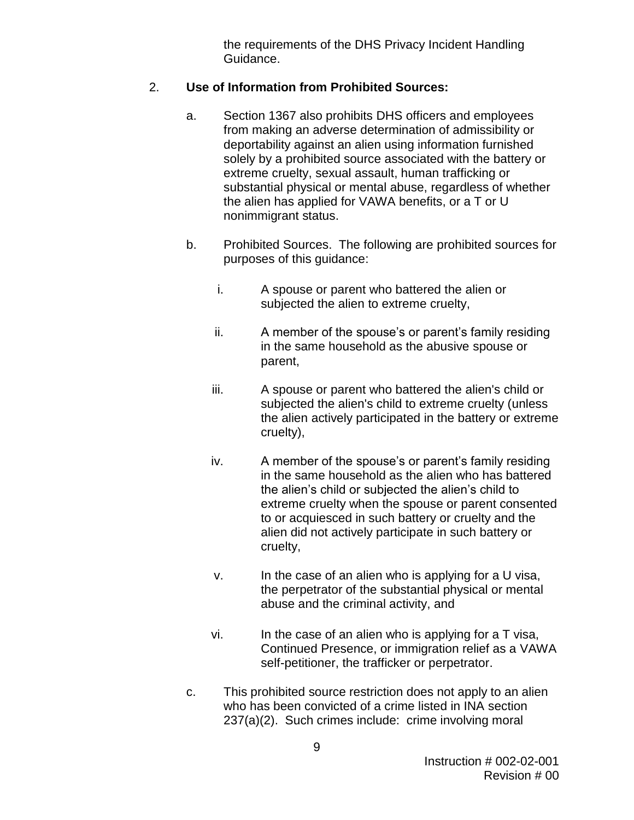the requirements of the DHS Privacy Incident Handling Guidance.

#### 2. **Use of Information from Prohibited Sources:**

- a. Section 1367 also prohibits DHS officers and employees from making an adverse determination of admissibility or deportability against an alien using information furnished solely by a prohibited source associated with the battery or extreme cruelty, sexual assault, human trafficking or substantial physical or mental abuse, regardless of whether the alien has applied for VAWA benefits, or a T or U nonimmigrant status.
- b. Prohibited Sources. The following are prohibited sources for purposes of this guidance:
	- i. A spouse or parent who battered the alien or subjected the alien to extreme cruelty,
	- ii. A member of the spouse's or parent's family residing in the same household as the abusive spouse or parent,
	- iii. A spouse or parent who battered the alien's child or subjected the alien's child to extreme cruelty (unless the alien actively participated in the battery or extreme cruelty),
	- iv. A member of the spouse's or parent's family residing in the same household as the alien who has battered the alien's child or subjected the alien's child to extreme cruelty when the spouse or parent consented to or acquiesced in such battery or cruelty and the alien did not actively participate in such battery or cruelty,
	- v. In the case of an alien who is applying for a U visa, the perpetrator of the substantial physical or mental abuse and the criminal activity, and
	- vi. In the case of an alien who is applying for a T visa, Continued Presence, or immigration relief as a VAWA self-petitioner, the trafficker or perpetrator.
- c. This prohibited source restriction does not apply to an alien who has been convicted of a crime listed in INA section 237(a)(2). Such crimes include: crime involving moral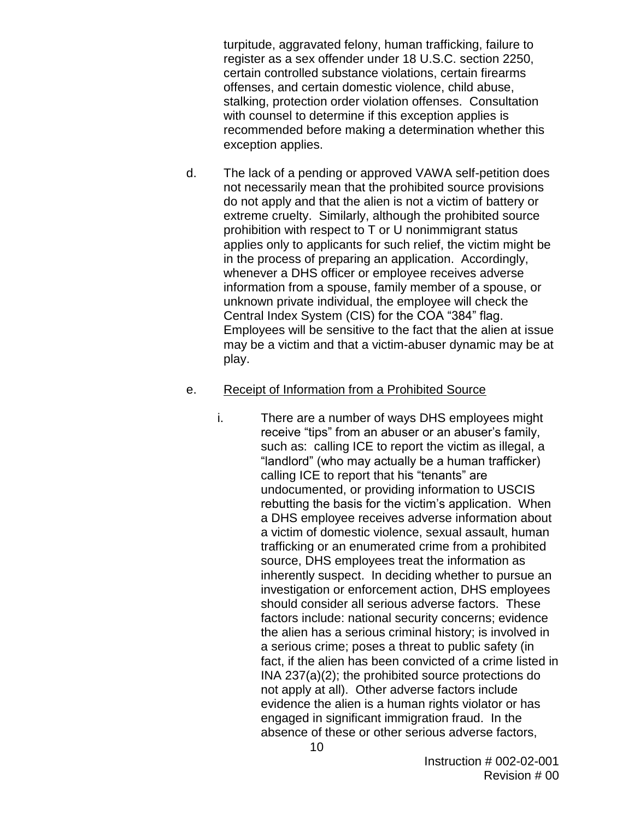turpitude, aggravated felony, human trafficking, failure to register as a sex offender under 18 U.S.C. section 2250, certain controlled substance violations, certain firearms offenses, and certain domestic violence, child abuse, stalking, protection order violation offenses. Consultation with counsel to determine if this exception applies is recommended before making a determination whether this exception applies.

d. The lack of a pending or approved VAWA self-petition does not necessarily mean that the prohibited source provisions do not apply and that the alien is not a victim of battery or extreme cruelty. Similarly, although the prohibited source prohibition with respect to T or U nonimmigrant status applies only to applicants for such relief, the victim might be in the process of preparing an application. Accordingly, whenever a DHS officer or employee receives adverse information from a spouse, family member of a spouse, or unknown private individual, the employee will check the Central Index System (CIS) for the COA "384" flag. Employees will be sensitive to the fact that the alien at issue may be a victim and that a victim-abuser dynamic may be at play.

#### e. Receipt of Information from a Prohibited Source

i. There are a number of ways DHS employees might receive "tips" from an abuser or an abuser's family, such as: calling ICE to report the victim as illegal, a "landlord" (who may actually be a human trafficker) calling ICE to report that his "tenants" are undocumented, or providing information to USCIS rebutting the basis for the victim's application. When a DHS employee receives adverse information about a victim of domestic violence, sexual assault, human trafficking or an enumerated crime from a prohibited source, DHS employees treat the information as inherently suspect. In deciding whether to pursue an investigation or enforcement action, DHS employees should consider all serious adverse factors. These factors include: national security concerns; evidence the alien has a serious criminal history; is involved in a serious crime; poses a threat to public safety (in fact, if the alien has been convicted of a crime listed in INA 237(a)(2); the prohibited source protections do not apply at all). Other adverse factors include evidence the alien is a human rights violator or has engaged in significant immigration fraud. In the absence of these or other serious adverse factors,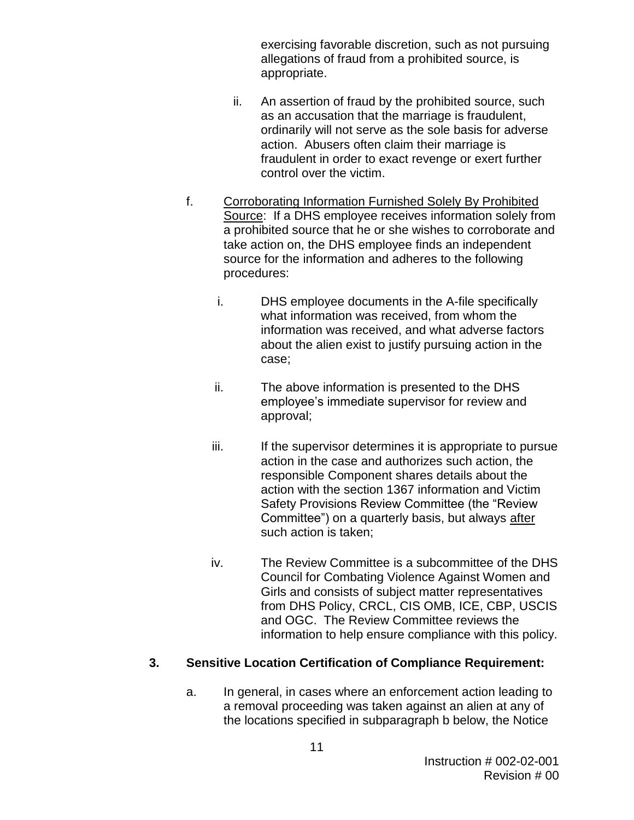exercising favorable discretion, such as not pursuing allegations of fraud from a prohibited source, is appropriate.

- ii. An assertion of fraud by the prohibited source, such as an accusation that the marriage is fraudulent, ordinarily will not serve as the sole basis for adverse action. Abusers often claim their marriage is fraudulent in order to exact revenge or exert further control over the victim.
- f. Corroborating Information Furnished Solely By Prohibited Source: If a DHS employee receives information solely from a prohibited source that he or she wishes to corroborate and take action on, the DHS employee finds an independent source for the information and adheres to the following procedures:
	- i. DHS employee documents in the A-file specifically what information was received, from whom the information was received, and what adverse factors about the alien exist to justify pursuing action in the case;
	- ii. The above information is presented to the DHS employee's immediate supervisor for review and approval;
	- iii. If the supervisor determines it is appropriate to pursue action in the case and authorizes such action, the responsible Component shares details about the action with the section 1367 information and Victim Safety Provisions Review Committee (the "Review Committee") on a quarterly basis, but always after such action is taken;
	- iv. The Review Committee is a subcommittee of the DHS Council for Combating Violence Against Women and Girls and consists of subject matter representatives from DHS Policy, CRCL, CIS OMB, ICE, CBP, USCIS and OGC. The Review Committee reviews the information to help ensure compliance with this policy.

#### **3. Sensitive Location Certification of Compliance Requirement:**

a. In general, in cases where an enforcement action leading to a removal proceeding was taken against an alien at any of the locations specified in subparagraph b below, the Notice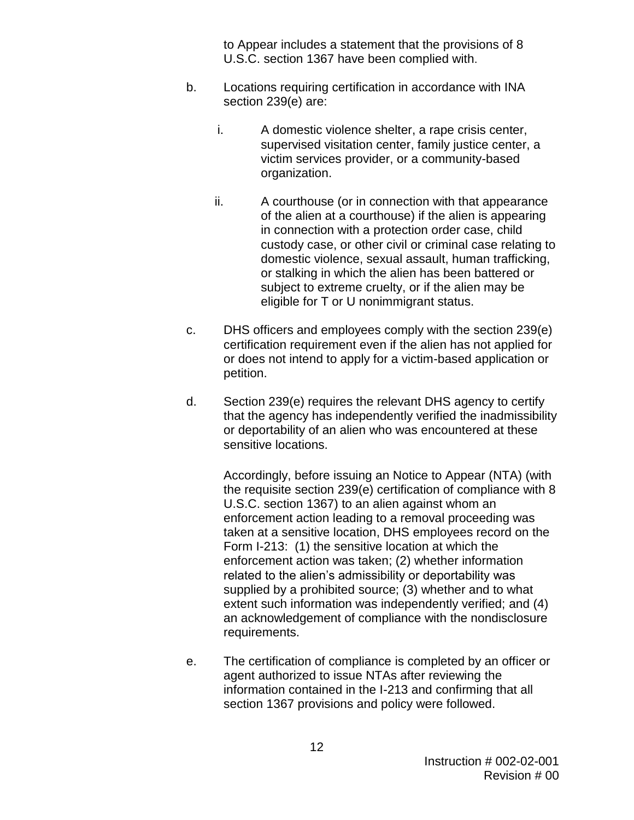to Appear includes a statement that the provisions of 8 U.S.C. section 1367 have been complied with.

- b. Locations requiring certification in accordance with INA section 239(e) are:
	- i. A domestic violence shelter, a rape crisis center, supervised visitation center, family justice center, a victim services provider, or a community-based organization.
	- ii. A courthouse (or in connection with that appearance of the alien at a courthouse) if the alien is appearing in connection with a protection order case, child custody case, or other civil or criminal case relating to domestic violence, sexual assault, human trafficking, or stalking in which the alien has been battered or subject to extreme cruelty, or if the alien may be eligible for T or U nonimmigrant status.
- c. DHS officers and employees comply with the section 239(e) certification requirement even if the alien has not applied for or does not intend to apply for a victim-based application or petition.
- d. Section 239(e) requires the relevant DHS agency to certify that the agency has independently verified the inadmissibility or deportability of an alien who was encountered at these sensitive locations.

Accordingly, before issuing an Notice to Appear (NTA) (with the requisite section 239(e) certification of compliance with 8 U.S.C. section 1367) to an alien against whom an enforcement action leading to a removal proceeding was taken at a sensitive location, DHS employees record on the Form I-213: (1) the sensitive location at which the enforcement action was taken; (2) whether information related to the alien's admissibility or deportability was supplied by a prohibited source; (3) whether and to what extent such information was independently verified; and (4) an acknowledgement of compliance with the nondisclosure requirements.

e. The certification of compliance is completed by an officer or agent authorized to issue NTAs after reviewing the information contained in the I-213 and confirming that all section 1367 provisions and policy were followed.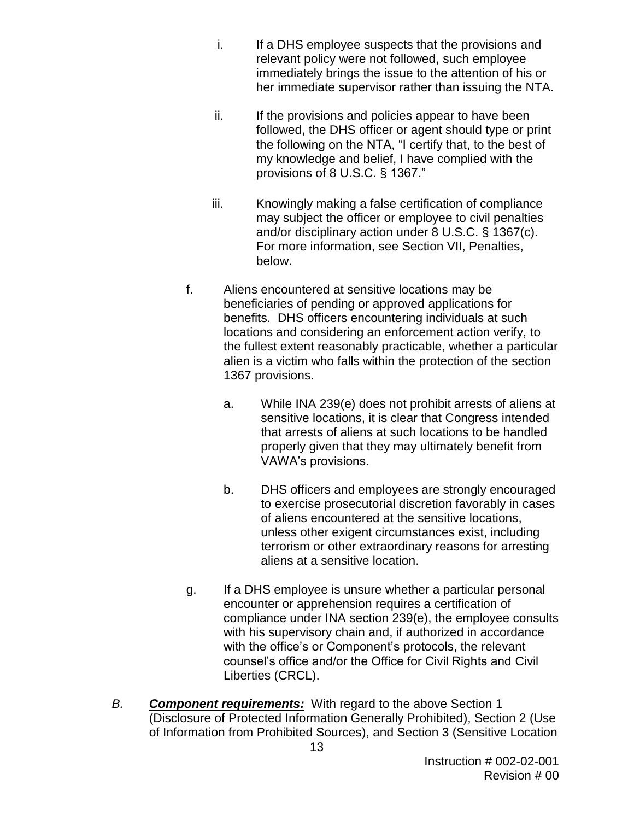- i. If a DHS employee suspects that the provisions and relevant policy were not followed, such employee immediately brings the issue to the attention of his or her immediate supervisor rather than issuing the NTA.
- ii. If the provisions and policies appear to have been followed, the DHS officer or agent should type or print the following on the NTA, "I certify that, to the best of my knowledge and belief, I have complied with the provisions of 8 U.S.C. § 1367."
- iii. Knowingly making a false certification of compliance may subject the officer or employee to civil penalties and/or disciplinary action under 8 U.S.C. § 1367(c). For more information, see Section VII, Penalties, below.
- f. Aliens encountered at sensitive locations may be beneficiaries of pending or approved applications for benefits. DHS officers encountering individuals at such locations and considering an enforcement action verify, to the fullest extent reasonably practicable, whether a particular alien is a victim who falls within the protection of the section 1367 provisions.
	- a. While INA 239(e) does not prohibit arrests of aliens at sensitive locations, it is clear that Congress intended that arrests of aliens at such locations to be handled properly given that they may ultimately benefit from VAWA's provisions.
	- b. DHS officers and employees are strongly encouraged to exercise prosecutorial discretion favorably in cases of aliens encountered at the sensitive locations, unless other exigent circumstances exist, including terrorism or other extraordinary reasons for arresting aliens at a sensitive location.
- g. If a DHS employee is unsure whether a particular personal encounter or apprehension requires a certification of compliance under INA section 239(e), the employee consults with his supervisory chain and, if authorized in accordance with the office's or Component's protocols, the relevant counsel's office and/or the Office for Civil Rights and Civil Liberties (CRCL).
- *B. Component requirements:*With regard to the above Section 1 (Disclosure of Protected Information Generally Prohibited), Section 2 (Use of Information from Prohibited Sources), and Section 3 (Sensitive Location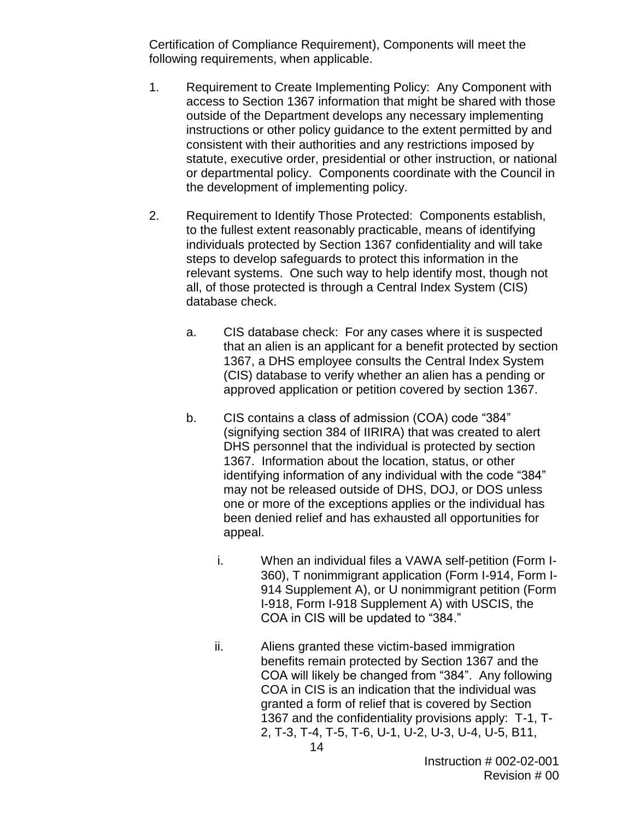Certification of Compliance Requirement), Components will meet the following requirements, when applicable.

- 1. Requirement to Create Implementing Policy: Any Component with access to Section 1367 information that might be shared with those outside of the Department develops any necessary implementing instructions or other policy guidance to the extent permitted by and consistent with their authorities and any restrictions imposed by statute, executive order, presidential or other instruction, or national or departmental policy. Components coordinate with the Council in the development of implementing policy.
- 2. Requirement to Identify Those Protected: Components establish, to the fullest extent reasonably practicable, means of identifying individuals protected by Section 1367 confidentiality and will take steps to develop safeguards to protect this information in the relevant systems. One such way to help identify most, though not all, of those protected is through a Central Index System (CIS) database check.
	- a. CIS database check: For any cases where it is suspected that an alien is an applicant for a benefit protected by section 1367, a DHS employee consults the Central Index System (CIS) database to verify whether an alien has a pending or approved application or petition covered by section 1367.
	- b. CIS contains a class of admission (COA) code "384" (signifying section 384 of IIRIRA) that was created to alert DHS personnel that the individual is protected by section 1367. Information about the location, status, or other identifying information of any individual with the code "384" may not be released outside of DHS, DOJ, or DOS unless one or more of the exceptions applies or the individual has been denied relief and has exhausted all opportunities for appeal.
		- i. When an individual files a VAWA self-petition (Form I-360), T nonimmigrant application (Form I-914, Form I-914 Supplement A), or U nonimmigrant petition (Form I-918, Form I-918 Supplement A) with USCIS, the COA in CIS will be updated to "384."
		- ii. Aliens granted these victim-based immigration benefits remain protected by Section 1367 and the COA will likely be changed from "384". Any following COA in CIS is an indication that the individual was granted a form of relief that is covered by Section 1367 and the confidentiality provisions apply: T-1, T-2, T-3, T-4, T-5, T-6, U-1, U-2, U-3, U-4, U-5, B11,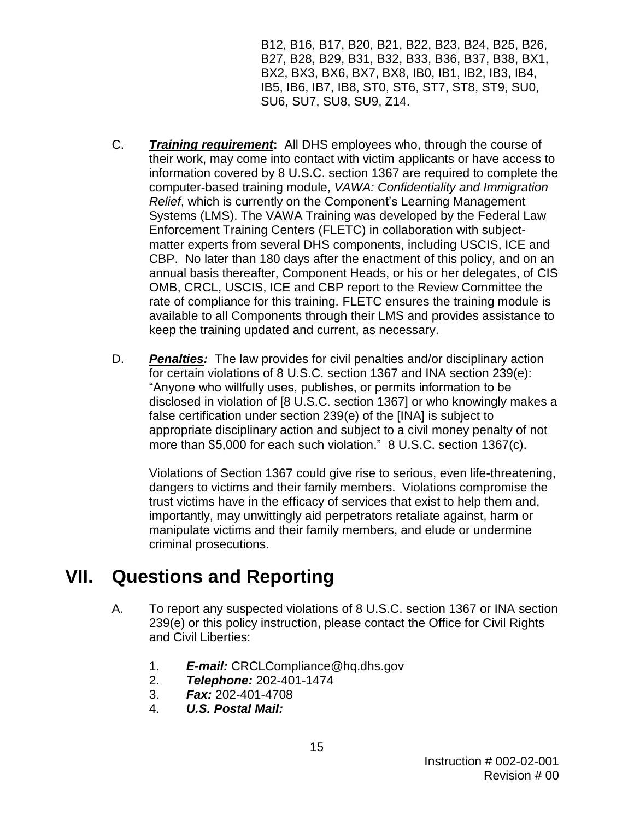B12, B16, B17, B20, B21, B22, B23, B24, B25, B26, B27, B28, B29, B31, B32, B33, B36, B37, B38, BX1, BX2, BX3, BX6, BX7, BX8, IB0, IB1, IB2, IB3, IB4, IB5, IB6, IB7, IB8, ST0, ST6, ST7, ST8, ST9, SU0, SU6, SU7, SU8, SU9, Z14.

- C. *Training requirement***:** All DHS employees who, through the course of their work, may come into contact with victim applicants or have access to information covered by 8 U.S.C. section 1367 are required to complete the computer-based training module, *VAWA: Confidentiality and Immigration Relief*, which is currently on the Component's Learning Management Systems (LMS). The VAWA Training was developed by the Federal Law Enforcement Training Centers (FLETC) in collaboration with subjectmatter experts from several DHS components, including USCIS, ICE and CBP. No later than 180 days after the enactment of this policy, and on an annual basis thereafter, Component Heads, or his or her delegates, of CIS OMB, CRCL, USCIS, ICE and CBP report to the Review Committee the rate of compliance for this training. FLETC ensures the training module is available to all Components through their LMS and provides assistance to keep the training updated and current, as necessary.
- D. *Penalties:* The law provides for civil penalties and/or disciplinary action for certain violations of 8 U.S.C. section 1367 and INA section 239(e): "Anyone who willfully uses, publishes, or permits information to be disclosed in violation of [8 U.S.C. section 1367] or who knowingly makes a false certification under section 239(e) of the [INA] is subject to appropriate disciplinary action and subject to a civil money penalty of not more than \$5,000 for each such violation." 8 U.S.C. section 1367(c).

Violations of Section 1367 could give rise to serious, even life-threatening, dangers to victims and their family members. Violations compromise the trust victims have in the efficacy of services that exist to help them and, importantly, may unwittingly aid perpetrators retaliate against, harm or manipulate victims and their family members, and elude or undermine criminal prosecutions.

### **VII. Questions and Reporting**

- A. To report any suspected violations of 8 U.S.C. section 1367 or INA section 239(e) or this policy instruction, please contact the Office for Civil Rights and Civil Liberties:
	- 1. *E-mail:* CRCLCompliance@hq.dhs.gov
	- 2. *Telephone:* 202-401-1474
	- 3. *Fax:* 202-401-4708
	- 4. *U.S. Postal Mail:*